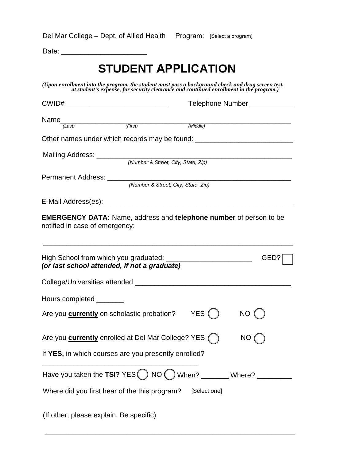| Del Mar College - Dept. of Allied Health Program: [Select a program] |  |  |
|----------------------------------------------------------------------|--|--|
|----------------------------------------------------------------------|--|--|

Date: \_\_\_\_\_\_\_\_\_\_\_\_\_\_\_\_\_\_\_\_\_\_

## **STUDENT APPLICATION**

*(Upon enrollment into the program, the student must pass a background check and drug screen test, at student's expense, for security clearance and continued enrollment in the program.)* 

| $CWID#$ ___________________________________ |                                                                                                                   | Telephone Number ___________ |     |      |
|---------------------------------------------|-------------------------------------------------------------------------------------------------------------------|------------------------------|-----|------|
|                                             | Name $\frac{1}{\sqrt{10} \text{ astl}}$ (First)                                                                   |                              |     |      |
|                                             |                                                                                                                   | (Middle)                     |     |      |
|                                             | Other names under which records may be found: __________________________________                                  |                              |     |      |
|                                             |                                                                                                                   |                              |     |      |
|                                             | (Number & Street, City, State, Zip)                                                                               |                              |     |      |
|                                             |                                                                                                                   |                              |     |      |
|                                             | (Number & Street, City, State, Zip)                                                                               |                              |     |      |
|                                             |                                                                                                                   |                              |     |      |
| notified in case of emergency:              | <b>EMERGENCY DATA:</b> Name, address and <b>telephone number</b> of person to be                                  |                              |     |      |
|                                             | High School from which you graduated: ___________________________<br>(or last school attended, if not a graduate) |                              |     | GED? |
|                                             |                                                                                                                   |                              |     |      |
| Hours completed _______                     |                                                                                                                   |                              |     |      |
|                                             | Are you <b>currently</b> on scholastic probation?                                                                 | YES ()                       | NO  |      |
|                                             | Are you <b>currently</b> enrolled at Del Mar College? YES (                                                       |                              | NO. |      |
|                                             | If YES, in which courses are you presently enrolled?                                                              |                              |     |      |
|                                             | Have you taken the TSI? $YES() NO() When? ________ When? ________$                                                |                              |     |      |
|                                             | Where did you first hear of the this program?                                                                     | [Select one]                 |     |      |
|                                             |                                                                                                                   |                              |     |      |

\_\_\_\_\_\_\_\_\_\_\_\_\_\_\_\_\_\_\_\_\_\_\_\_\_\_\_\_\_\_\_\_\_\_\_\_\_\_\_\_\_\_\_\_\_\_\_\_\_\_\_\_\_\_\_\_\_\_\_\_\_\_\_\_

(If other, please explain. Be specific)